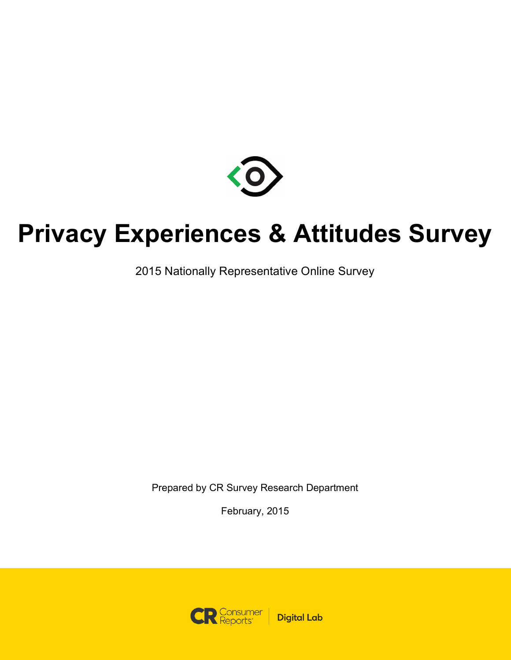

# **Privacy Experiences & Attitudes Survey**

2015 Nationally Representative Online Survey

Prepared by CR Survey Research Department

February, 2015

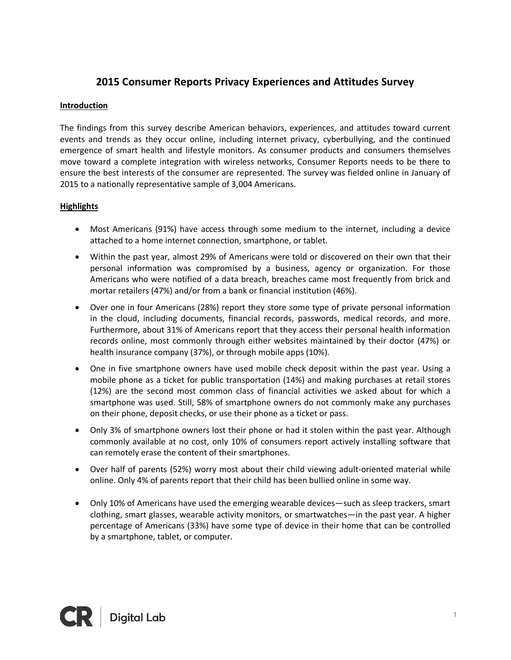# **2015 Consumer Reports Privacy Experiences and Attitudes Survey**

#### **Introduction**

The findings from this survey describe American behaviors, experiences, and attitudes toward current events and trends as they occur online, including internet privacy, cyberbullying, and the continued emergence of smart health and lifestyle monitors. As consumer products and consumers themselves move toward a complete integration with wireless networks, Consumer Reports needs to be there to ensure the best interests of the consumer are represented. The survey was fielded online in January of 2015 to a nationally representative sample of 3,004 Americans.

## **Highlights**

- Most Americans (91%) have access through some medium to the internet, including a device attached to a home internet connection, smartphone, or tablet.
- Within the past year, almost 29% of Americans were told or discovered on their own that their personal information was compromised by a business, agency or organization. For those Americans who were notified of a data breach, breaches came most frequently from brick and mortar retailers (47%) and/or from a bank or financial institution (46%).
- Over one in four Americans (28%) report they store some type of private personal information in the cloud, including documents, financial records, passwords, medical records, and more. Furthermore, about 31% of Americans report that they access their personal health information records online, most commonly through either websites maintained by their doctor (47%) or health insurance company (37%), or through mobile apps (10%).
- One in five smartphone owners have used mobile check deposit within the past year. Using a mobile phone as a ticket for public transportation (14%) and making purchases at retail stores (12%) are the second most common class of financial activities we asked about for which a smartphone was used. Still, 58% of smartphone owners do not commonly make any purchases on their phone, deposit checks, or use their phone as a ticket or pass.
- Only 3% of smartphone owners lost their phone or had it stolen within the past year. Although commonly available at no cost, only 10% of consumers report actively installing software that can remotely erase the content of their smartphones.
- Over half of parents (52%) worry most about their child viewing adult-oriented material while online. Only 4% of parents report that their child has been bullied online in some way.
- Only 10% of Americans have used the emerging wearable devices—such as sleep trackers, smart clothing, smart glasses, wearable activity monitors, or smartwatches—in the past year. A higher percentage of Americans (33%) have some type of device in their home that can be controlled by a smartphone, tablet, or computer.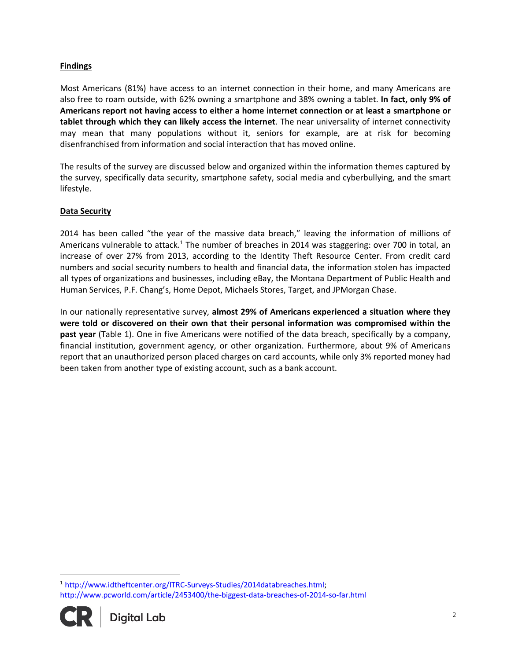### **Findings**

Most Americans (81%) have access to an internet connection in their home, and many Americans are also free to roam outside, with 62% owning a smartphone and 38% owning a tablet. **In fact, only 9% of Americans report not having access to either a home internet connection or at least a smartphone or tablet through which they can likely access the internet**. The near universality of internet connectivity may mean that many populations without it, seniors for example, are at risk for becoming disenfranchised from information and social interaction that has moved online.

The results of the survey are discussed below and organized within the information themes captured by the survey, specifically data security, smartphone safety, social media and cyberbullying, and the smart lifestyle.

#### **Data Security**

2014 has been called "the year of the massive data breach," leaving the information of millions of Americans vulnerable to attack.<sup>1</sup> The number of breaches in 2014 was staggering: over 700 in total, an increase of over 27% from 2013, according to the Identity Theft Resource Center. From credit card numbers and social security numbers to health and financial data, the information stolen has impacted all types of organizations and businesses, including eBay, the Montana Department of Public Health and Human Services, P.F. Chang's, Home Depot, Michaels Stores, Target, and JPMorgan Chase.

In our nationally representative survey, **almost 29% of Americans experienced a situation where they were told or discovered on their own that their personal information was compromised within the past year** (Table 1). One in five Americans were notified of the data breach, specifically by a company, financial institution, government agency, or other organization. Furthermore, about 9% of Americans report that an unauthorized person placed charges on card accounts, while only 3% reported money had been taken from another type of existing account, such as a bank account.

<sup>1</sup> http://www.idtheftcenter.org/ITRC-Surveys-Studies/2014databreaches.html; http://www.pcworld.com/article/2453400/the-biggest-data-breaches-of-2014-so-far.html



 $\overline{a}$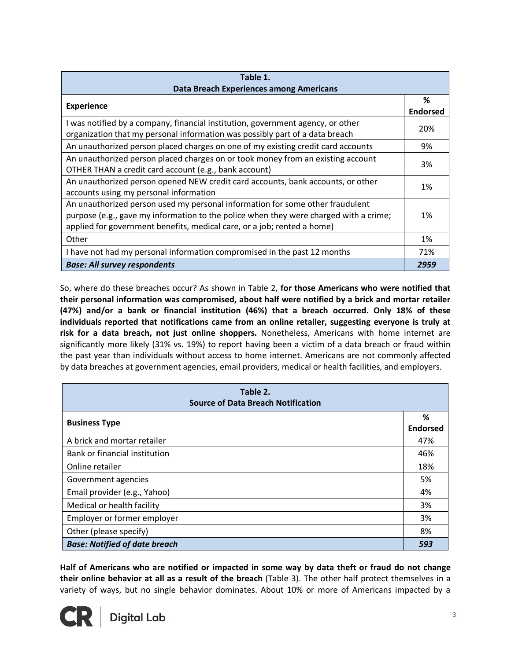| Table 1.                                                                                                                                                                                                                                          |                      |
|---------------------------------------------------------------------------------------------------------------------------------------------------------------------------------------------------------------------------------------------------|----------------------|
| Data Breach Experiences among Americans                                                                                                                                                                                                           |                      |
| <b>Experience</b>                                                                                                                                                                                                                                 | %<br><b>Endorsed</b> |
| I was notified by a company, financial institution, government agency, or other<br>organization that my personal information was possibly part of a data breach                                                                                   | 20%                  |
| An unauthorized person placed charges on one of my existing credit card accounts                                                                                                                                                                  | 9%                   |
| An unauthorized person placed charges on or took money from an existing account<br>OTHER THAN a credit card account (e.g., bank account)                                                                                                          | 3%                   |
| An unauthorized person opened NEW credit card accounts, bank accounts, or other<br>accounts using my personal information                                                                                                                         | 1%                   |
| An unauthorized person used my personal information for some other fraudulent<br>purpose (e.g., gave my information to the police when they were charged with a crime;<br>applied for government benefits, medical care, or a job; rented a home) | 1%                   |
| Other                                                                                                                                                                                                                                             | 1%                   |
| I have not had my personal information compromised in the past 12 months                                                                                                                                                                          | 71%                  |
| <b>Base: All survey respondents</b>                                                                                                                                                                                                               | 2959                 |

So, where do these breaches occur? As shown in Table 2, **for those Americans who were notified that their personal information was compromised, about half were notified by a brick and mortar retailer (47%) and/or a bank or financial institution (46%) that a breach occurred. Only 18% of these individuals reported that notifications came from an online retailer, suggesting everyone is truly at risk for a data breach, not just online shoppers.** Nonetheless, Americans with home internet are significantly more likely (31% vs. 19%) to report having been a victim of a data breach or fraud within the past year than individuals without access to home internet. Americans are not commonly affected by data breaches at government agencies, email providers, medical or health facilities, and employers.

| Table 2.<br><b>Source of Data Breach Notification</b> |                      |
|-------------------------------------------------------|----------------------|
| <b>Business Type</b>                                  | ℅<br><b>Endorsed</b> |
| A brick and mortar retailer                           | 47%                  |
| Bank or financial institution                         | 46%                  |
| Online retailer                                       | 18%                  |
| Government agencies                                   | 5%                   |
| Email provider (e.g., Yahoo)                          | 4%                   |
| Medical or health facility                            | 3%                   |
| Employer or former employer                           | 3%                   |
| Other (please specify)                                | 8%                   |
| <b>Base: Notified of date breach</b>                  | 593                  |

**Half of Americans who are notified or impacted in some way by data theft or fraud do not change their online behavior at all as a result of the breach** (Table 3). The other half protect themselves in a variety of ways, but no single behavior dominates. About 10% or more of Americans impacted by a

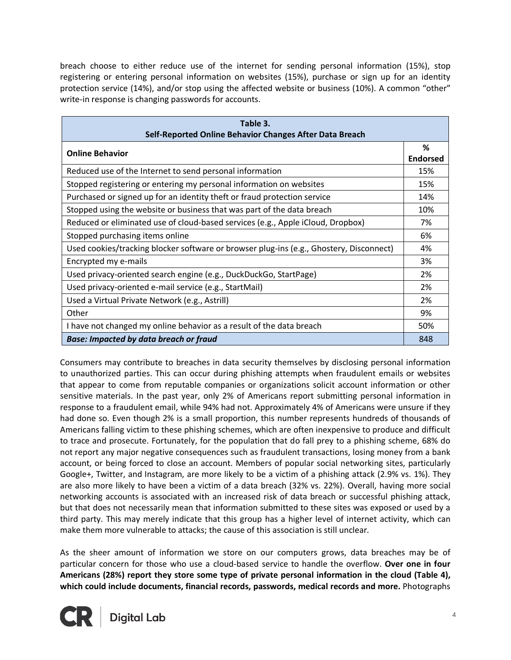breach choose to either reduce use of the internet for sending personal information (15%), stop registering or entering personal information on websites (15%), purchase or sign up for an identity protection service (14%), and/or stop using the affected website or business (10%). A common "other" write-in response is changing passwords for accounts.

| Table 3.                                                                                |                 |
|-----------------------------------------------------------------------------------------|-----------------|
| Self-Reported Online Behavior Changes After Data Breach                                 |                 |
| <b>Online Behavior</b>                                                                  | %               |
|                                                                                         | <b>Endorsed</b> |
| Reduced use of the Internet to send personal information                                | 15%             |
| Stopped registering or entering my personal information on websites                     | 15%             |
| Purchased or signed up for an identity theft or fraud protection service                | 14%             |
| Stopped using the website or business that was part of the data breach                  | 10%             |
| Reduced or eliminated use of cloud-based services (e.g., Apple iCloud, Dropbox)         | 7%              |
| Stopped purchasing items online                                                         | 6%              |
| Used cookies/tracking blocker software or browser plug-ins (e.g., Ghostery, Disconnect) | 4%              |
| Encrypted my e-mails                                                                    | 3%              |
| Used privacy-oriented search engine (e.g., DuckDuckGo, StartPage)                       | 2%              |
| Used privacy-oriented e-mail service (e.g., StartMail)                                  | 2%              |
| Used a Virtual Private Network (e.g., Astrill)                                          | 2%              |
| Other                                                                                   | 9%              |
| I have not changed my online behavior as a result of the data breach                    | 50%             |
| <b>Base: Impacted by data breach or fraud</b>                                           | 848             |

Consumers may contribute to breaches in data security themselves by disclosing personal information to unauthorized parties. This can occur during phishing attempts when fraudulent emails or websites that appear to come from reputable companies or organizations solicit account information or other sensitive materials. In the past year, only 2% of Americans report submitting personal information in response to a fraudulent email, while 94% had not. Approximately 4% of Americans were unsure if they had done so. Even though 2% is a small proportion, this number represents hundreds of thousands of Americans falling victim to these phishing schemes, which are often inexpensive to produce and difficult to trace and prosecute. Fortunately, for the population that do fall prey to a phishing scheme, 68% do not report any major negative consequences such as fraudulent transactions, losing money from a bank account, or being forced to close an account. Members of popular social networking sites, particularly Google+, Twitter, and Instagram, are more likely to be a victim of a phishing attack (2.9% vs. 1%). They are also more likely to have been a victim of a data breach (32% vs. 22%). Overall, having more social networking accounts is associated with an increased risk of data breach or successful phishing attack, but that does not necessarily mean that information submitted to these sites was exposed or used by a third party. This may merely indicate that this group has a higher level of internet activity, which can make them more vulnerable to attacks; the cause of this association is still unclear.

As the sheer amount of information we store on our computers grows, data breaches may be of particular concern for those who use a cloud-based service to handle the overflow. **Over one in four Americans (28%) report they store some type of private personal information in the cloud (Table 4), which could include documents, financial records, passwords, medical records and more.** Photographs

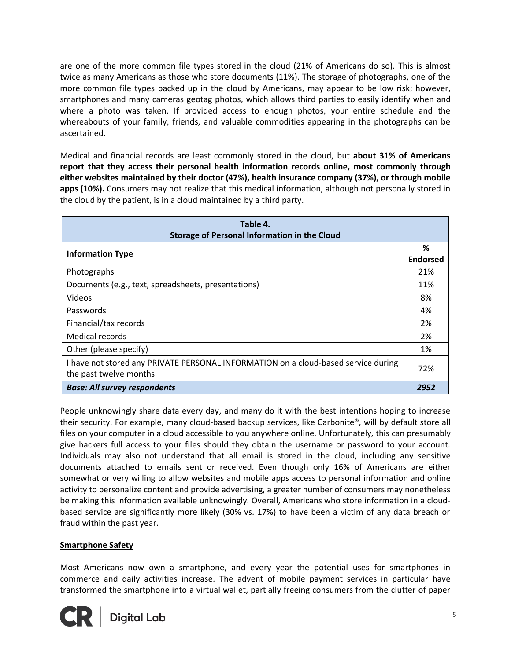are one of the more common file types stored in the cloud (21% of Americans do so). This is almost twice as many Americans as those who store documents (11%). The storage of photographs, one of the more common file types backed up in the cloud by Americans, may appear to be low risk; however, smartphones and many cameras geotag photos, which allows third parties to easily identify when and where a photo was taken. If provided access to enough photos, your entire schedule and the whereabouts of your family, friends, and valuable commodities appearing in the photographs can be ascertained.

Medical and financial records are least commonly stored in the cloud, but **about 31% of Americans report that they access their personal health information records online, most commonly through either websites maintained by their doctor (47%), health insurance company (37%), or through mobile apps (10%).** Consumers may not realize that this medical information, although not personally stored in the cloud by the patient, is in a cloud maintained by a third party.

| Table 4.<br><b>Storage of Personal Information in the Cloud</b>                                              |                      |
|--------------------------------------------------------------------------------------------------------------|----------------------|
| <b>Information Type</b>                                                                                      | ℅<br><b>Endorsed</b> |
| Photographs                                                                                                  | 21%                  |
| Documents (e.g., text, spreadsheets, presentations)                                                          | 11%                  |
| Videos                                                                                                       | 8%                   |
| Passwords                                                                                                    | 4%                   |
| Financial/tax records                                                                                        | 2%                   |
| Medical records                                                                                              | 2%                   |
| Other (please specify)                                                                                       | 1%                   |
| I have not stored any PRIVATE PERSONAL INFORMATION on a cloud-based service during<br>the past twelve months | 72%                  |
| <b>Base: All survey respondents</b>                                                                          | 2952                 |

People unknowingly share data every day, and many do it with the best intentions hoping to increase their security. For example, many cloud-based backup services, like Carbonite®, will by default store all files on your computer in a cloud accessible to you anywhere online. Unfortunately, this can presumably give hackers full access to your files should they obtain the username or password to your account. Individuals may also not understand that all email is stored in the cloud, including any sensitive documents attached to emails sent or received. Even though only 16% of Americans are either somewhat or very willing to allow websites and mobile apps access to personal information and online activity to personalize content and provide advertising, a greater number of consumers may nonetheless be making this information available unknowingly. Overall, Americans who store information in a cloudbased service are significantly more likely (30% vs. 17%) to have been a victim of any data breach or fraud within the past year.

#### **Smartphone Safety**

Most Americans now own a smartphone, and every year the potential uses for smartphones in commerce and daily activities increase. The advent of mobile payment services in particular have transformed the smartphone into a virtual wallet, partially freeing consumers from the clutter of paper

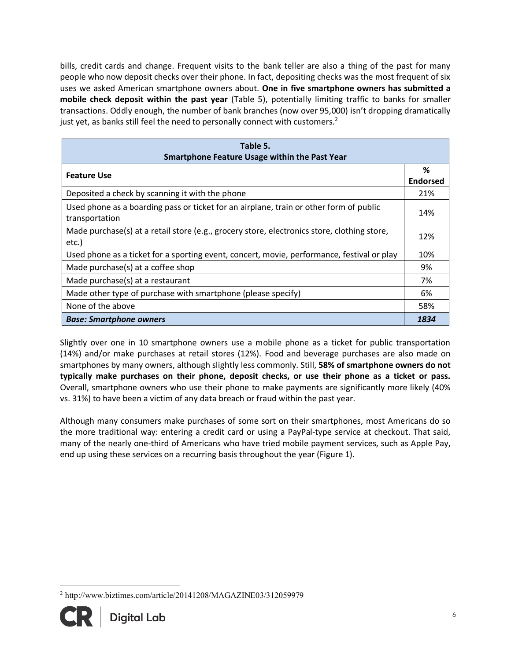bills, credit cards and change. Frequent visits to the bank teller are also a thing of the past for many people who now deposit checks over their phone. In fact, depositing checks was the most frequent of six uses we asked American smartphone owners about. **One in five smartphone owners has submitted a mobile check deposit within the past year** (Table 5), potentially limiting traffic to banks for smaller transactions. Oddly enough, the number of bank branches (now over 95,000) isn't dropping dramatically just yet, as banks still feel the need to personally connect with customers. $2$ 

| Table 5.<br><b>Smartphone Feature Usage within the Past Year</b>                                         |                      |
|----------------------------------------------------------------------------------------------------------|----------------------|
| <b>Feature Use</b>                                                                                       | %<br><b>Endorsed</b> |
| Deposited a check by scanning it with the phone                                                          | 21%                  |
| Used phone as a boarding pass or ticket for an airplane, train or other form of public<br>transportation | 14%                  |
| Made purchase(s) at a retail store (e.g., grocery store, electronics store, clothing store,<br>etc.)     | 12%                  |
| Used phone as a ticket for a sporting event, concert, movie, performance, festival or play               | 10%                  |
| Made purchase(s) at a coffee shop                                                                        | 9%                   |
| Made purchase(s) at a restaurant                                                                         | 7%                   |
| Made other type of purchase with smartphone (please specify)                                             | 6%                   |
| None of the above                                                                                        | 58%                  |
| <b>Base: Smartphone owners</b>                                                                           | 1834                 |

Slightly over one in 10 smartphone owners use a mobile phone as a ticket for public transportation (14%) and/or make purchases at retail stores (12%). Food and beverage purchases are also made on smartphones by many owners, although slightly less commonly. Still, **58% of smartphone owners do not typically make purchases on their phone, deposit checks, or use their phone as a ticket or pass.** Overall, smartphone owners who use their phone to make payments are significantly more likely (40% vs. 31%) to have been a victim of any data breach or fraud within the past year.

Although many consumers make purchases of some sort on their smartphones, most Americans do so the more traditional way: entering a credit card or using a PayPal-type service at checkout. That said, many of the nearly one-third of Americans who have tried mobile payment services, such as Apple Pay, end up using these services on a recurring basis throughout the year (Figure 1).

 <sup>2</sup> http://www.biztimes.com/article/20141208/MAGAZINE03/312059979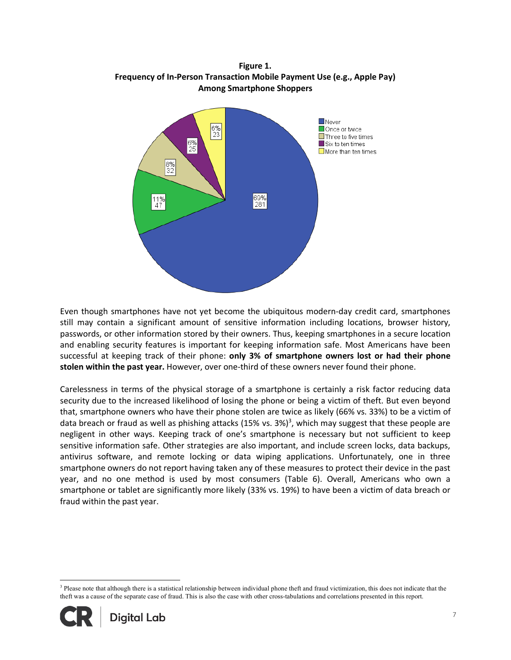**Figure 1. Frequency of In-Person Transaction Mobile Payment Use (e.g., Apple Pay) Among Smartphone Shoppers**



Even though smartphones have not yet become the ubiquitous modern-day credit card, smartphones still may contain a significant amount of sensitive information including locations, browser history, passwords, or other information stored by their owners. Thus, keeping smartphones in a secure location and enabling security features is important for keeping information safe. Most Americans have been successful at keeping track of their phone: **only 3% of smartphone owners lost or had their phone stolen within the past year.** However, over one-third of these owners never found their phone.

Carelessness in terms of the physical storage of a smartphone is certainly a risk factor reducing data security due to the increased likelihood of losing the phone or being a victim of theft. But even beyond that, smartphone owners who have their phone stolen are twice as likely (66% vs. 33%) to be a victim of data breach or fraud as well as phishing attacks (15% vs. 3%)<sup>3</sup>, which may suggest that these people are negligent in other ways. Keeping track of one's smartphone is necessary but not sufficient to keep sensitive information safe. Other strategies are also important, and include screen locks, data backups, antivirus software, and remote locking or data wiping applications. Unfortunately, one in three smartphone owners do not report having taken any of these measures to protect their device in the past year, and no one method is used by most consumers (Table 6). Overall, Americans who own a smartphone or tablet are significantly more likely (33% vs. 19%) to have been a victim of data breach or fraud within the past year.

<sup>&</sup>lt;sup>3</sup> Please note that although there is a statistical relationship between individual phone theft and fraud victimization, this does not indicate that the theft was a cause of the separate case of fraud. This is also the case with other cross-tabulations and correlations presented in this report.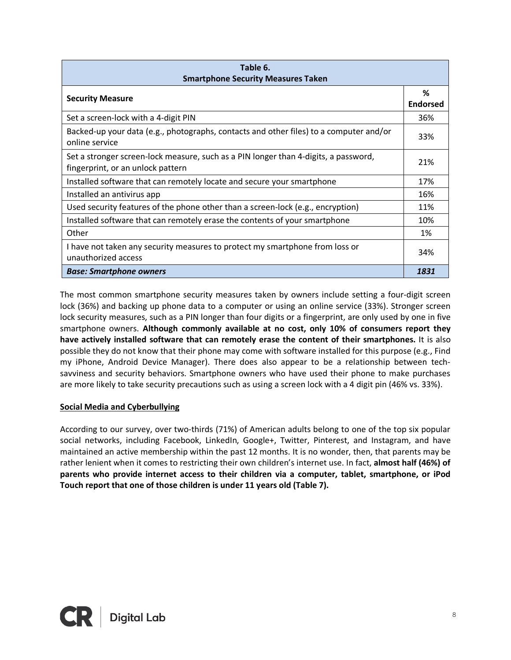| Table 6.<br><b>Smartphone Security Measures Taken</b>                                                                    |                      |
|--------------------------------------------------------------------------------------------------------------------------|----------------------|
| <b>Security Measure</b>                                                                                                  | ℅<br><b>Endorsed</b> |
| Set a screen-lock with a 4-digit PIN                                                                                     | 36%                  |
| Backed-up your data (e.g., photographs, contacts and other files) to a computer and/or<br>online service                 | 33%                  |
| Set a stronger screen-lock measure, such as a PIN longer than 4-digits, a password,<br>fingerprint, or an unlock pattern | 21%                  |
| Installed software that can remotely locate and secure your smartphone                                                   | 17%                  |
| Installed an antivirus app                                                                                               | 16%                  |
| Used security features of the phone other than a screen-lock (e.g., encryption)                                          | 11%                  |
| Installed software that can remotely erase the contents of your smartphone                                               | 10%                  |
| Other                                                                                                                    | 1%                   |
| I have not taken any security measures to protect my smartphone from loss or<br>unauthorized access                      | 34%                  |
| <b>Base: Smartphone owners</b>                                                                                           | 1831                 |

The most common smartphone security measures taken by owners include setting a four-digit screen lock (36%) and backing up phone data to a computer or using an online service (33%). Stronger screen lock security measures, such as a PIN longer than four digits or a fingerprint, are only used by one in five smartphone owners. **Although commonly available at no cost, only 10% of consumers report they have actively installed software that can remotely erase the content of their smartphones.** It is also possible they do not know that their phone may come with software installed for this purpose (e.g., Find my iPhone, Android Device Manager). There does also appear to be a relationship between techsavviness and security behaviors. Smartphone owners who have used their phone to make purchases are more likely to take security precautions such as using a screen lock with a 4 digit pin (46% vs. 33%).

#### **Social Media and Cyberbullying**

According to our survey, over two-thirds (71%) of American adults belong to one of the top six popular social networks, including Facebook, LinkedIn, Google+, Twitter, Pinterest, and Instagram, and have maintained an active membership within the past 12 months. It is no wonder, then, that parents may be rather lenient when it comes to restricting their own children's internet use. In fact, **almost half (46%) of parents who provide internet access to their children via a computer, tablet, smartphone, or iPod Touch report that one of those children is under 11 years old (Table 7).**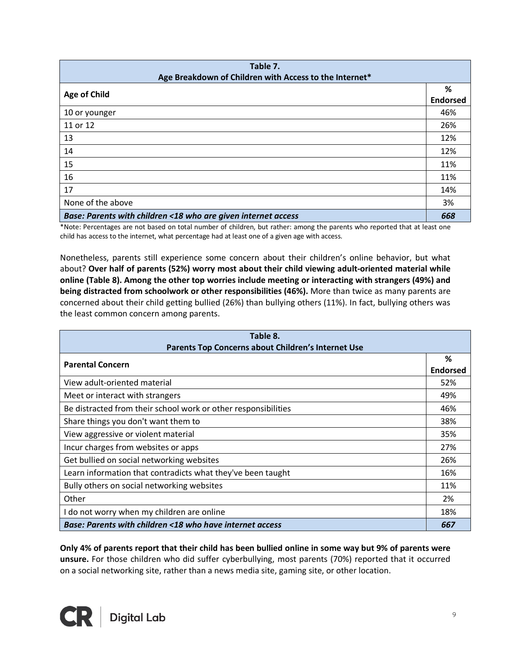| Table 7.<br>Age Breakdown of Children with Access to the Internet* |                      |
|--------------------------------------------------------------------|----------------------|
| <b>Age of Child</b>                                                | %<br><b>Endorsed</b> |
| 10 or younger                                                      | 46%                  |
| 11 or 12                                                           | 26%                  |
| 13                                                                 | 12%                  |
| 14                                                                 | 12%                  |
| 15                                                                 | 11%                  |
| 16                                                                 | 11%                  |
| 17                                                                 | 14%                  |
| None of the above                                                  | 3%                   |
| Base: Parents with children <18 who are given internet access      | 668                  |

\*Note: Percentages are not based on total number of children, but rather: among the parents who reported that at least one child has access to the internet, what percentage had at least one of a given age with access.

Nonetheless, parents still experience some concern about their children's online behavior, but what about? **Over half of parents (52%) worry most about their child viewing adult-oriented material while online (Table 8). Among the other top worries include meeting or interacting with strangers (49%) and being distracted from schoolwork or other responsibilities (46%).** More than twice as many parents are concerned about their child getting bullied (26%) than bullying others (11%). In fact, bullying others was the least common concern among parents.

| Table 8.<br>Parents Top Concerns about Children's Internet Use |                 |
|----------------------------------------------------------------|-----------------|
|                                                                | %               |
| <b>Parental Concern</b>                                        | <b>Endorsed</b> |
| View adult-oriented material                                   | 52%             |
| Meet or interact with strangers                                | 49%             |
| Be distracted from their school work or other responsibilities | 46%             |
| Share things you don't want them to                            | 38%             |
| View aggressive or violent material                            | 35%             |
| Incur charges from websites or apps                            | 27%             |
| Get bullied on social networking websites                      | 26%             |
| Learn information that contradicts what they've been taught    | 16%             |
| Bully others on social networking websites                     | 11%             |
| Other                                                          | 2%              |
| I do not worry when my children are online                     | 18%             |
| Base: Parents with children <18 who have internet access       | 667             |

**Only 4% of parents report that their child has been bullied online in some way but 9% of parents were unsure.** For those children who did suffer cyberbullying, most parents (70%) reported that it occurred on a social networking site, rather than a news media site, gaming site, or other location.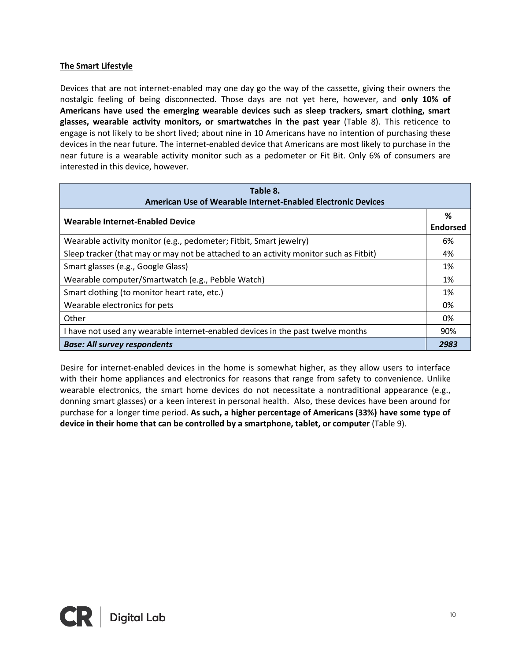#### **The Smart Lifestyle**

Devices that are not internet-enabled may one day go the way of the cassette, giving their owners the nostalgic feeling of being disconnected. Those days are not yet here, however, and **only 10% of Americans have used the emerging wearable devices such as sleep trackers, smart clothing, smart glasses, wearable activity monitors, or smartwatches in the past year** (Table 8). This reticence to engage is not likely to be short lived; about nine in 10 Americans have no intention of purchasing these devices in the near future. The internet-enabled device that Americans are most likely to purchase in the near future is a wearable activity monitor such as a pedometer or Fit Bit. Only 6% of consumers are interested in this device, however.

| Table 8.<br>American Use of Wearable Internet-Enabled Electronic Devices              |                      |
|---------------------------------------------------------------------------------------|----------------------|
| Wearable Internet-Enabled Device                                                      | %<br><b>Endorsed</b> |
| Wearable activity monitor (e.g., pedometer; Fitbit, Smart jewelry)                    | 6%                   |
| Sleep tracker (that may or may not be attached to an activity monitor such as Fitbit) | 4%                   |
| Smart glasses (e.g., Google Glass)                                                    | 1%                   |
| Wearable computer/Smartwatch (e.g., Pebble Watch)                                     | 1%                   |
| Smart clothing (to monitor heart rate, etc.)                                          | 1%                   |
| Wearable electronics for pets                                                         | 0%                   |
| Other                                                                                 | 0%                   |
| I have not used any wearable internet-enabled devices in the past twelve months       | 90%                  |
| <b>Base: All survey respondents</b>                                                   | 2983                 |

Desire for internet-enabled devices in the home is somewhat higher, as they allow users to interface with their home appliances and electronics for reasons that range from safety to convenience. Unlike wearable electronics, the smart home devices do not necessitate a nontraditional appearance (e.g., donning smart glasses) or a keen interest in personal health. Also, these devices have been around for purchase for a longer time period. **As such, a higher percentage of Americans (33%) have some type of device in their home that can be controlled by a smartphone, tablet, or computer** (Table 9).

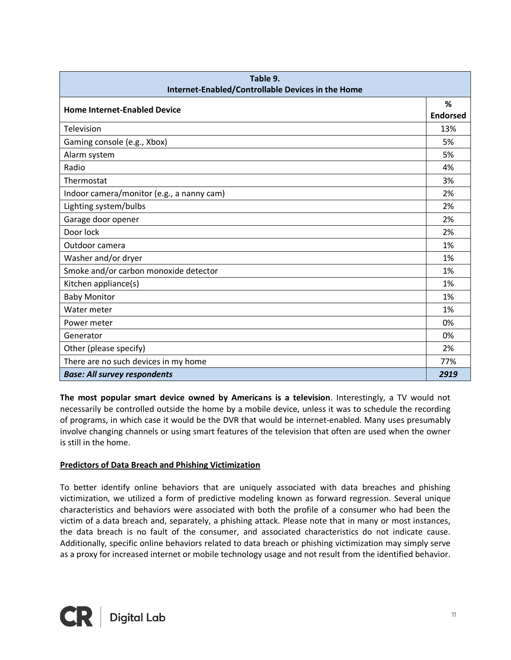| Table 9.<br>Internet-Enabled/Controllable Devices in the Home |                      |
|---------------------------------------------------------------|----------------------|
| <b>Home Internet-Enabled Device</b>                           | %<br><b>Endorsed</b> |
| Television                                                    | 13%                  |
| Gaming console (e.g., Xbox)                                   | 5%                   |
| Alarm system                                                  | 5%                   |
| Radio                                                         | 4%                   |
| Thermostat                                                    | 3%                   |
| Indoor camera/monitor (e.g., a nanny cam)                     | 2%                   |
| Lighting system/bulbs                                         | 2%                   |
| Garage door opener                                            | 2%                   |
| Door lock                                                     | 2%                   |
| Outdoor camera                                                | 1%                   |
| Washer and/or dryer                                           | 1%                   |
| Smoke and/or carbon monoxide detector                         | 1%                   |
| Kitchen appliance(s)                                          | 1%                   |
| <b>Baby Monitor</b>                                           | 1%                   |
| Water meter                                                   | 1%                   |
| Power meter                                                   | 0%                   |
| Generator                                                     | 0%                   |
| Other (please specify)                                        | 2%                   |
| There are no such devices in my home                          | 77%                  |
| <b>Base: All survey respondents</b>                           | 2919                 |

**The most popular smart device owned by Americans is a television**. Interestingly, a TV would not necessarily be controlled outside the home by a mobile device, unless it was to schedule the recording of programs, in which case it would be the DVR that would be internet-enabled. Many uses presumably involve changing channels or using smart features of the television that often are used when the owner is still in the home.

#### **Predictors of Data Breach and Phishing Victimization**

To better identify online behaviors that are uniquely associated with data breaches and phishing victimization, we utilized a form of predictive modeling known as forward regression. Several unique characteristics and behaviors were associated with both the profile of a consumer who had been the victim of a data breach and, separately, a phishing attack. Please note that in many or most instances, the data breach is no fault of the consumer, and associated characteristics do not indicate cause. Additionally, specific online behaviors related to data breach or phishing victimization may simply serve as a proxy for increased internet or mobile technology usage and not result from the identified behavior.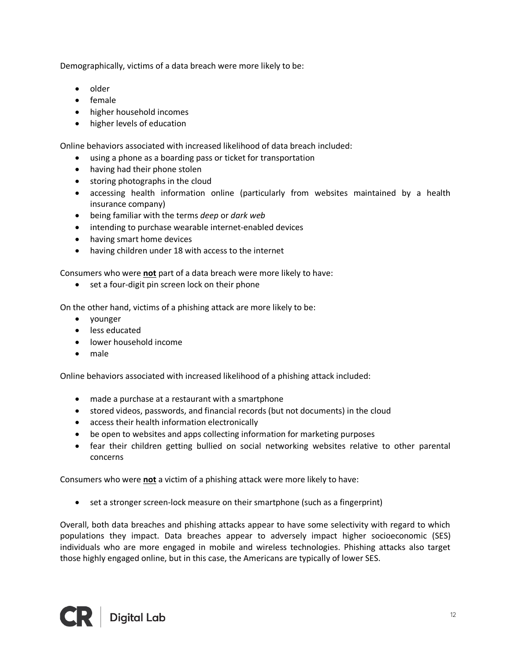Demographically, victims of a data breach were more likely to be:

- older
- female
- higher household incomes
- higher levels of education

Online behaviors associated with increased likelihood of data breach included:

- using a phone as a boarding pass or ticket for transportation
- having had their phone stolen
- storing photographs in the cloud
- accessing health information online (particularly from websites maintained by a health insurance company)
- being familiar with the terms *deep* or *dark web*
- intending to purchase wearable internet-enabled devices
- having smart home devices
- having children under 18 with access to the internet

Consumers who were **not** part of a data breach were more likely to have:

• set a four-digit pin screen lock on their phone

On the other hand, victims of a phishing attack are more likely to be:

- younger
- less educated
- lower household income
- male

Online behaviors associated with increased likelihood of a phishing attack included:

- made a purchase at a restaurant with a smartphone
- stored videos, passwords, and financial records (but not documents) in the cloud
- access their health information electronically
- be open to websites and apps collecting information for marketing purposes
- fear their children getting bullied on social networking websites relative to other parental concerns

Consumers who were **not** a victim of a phishing attack were more likely to have:

• set a stronger screen-lock measure on their smartphone (such as a fingerprint)

Overall, both data breaches and phishing attacks appear to have some selectivity with regard to which populations they impact. Data breaches appear to adversely impact higher socioeconomic (SES) individuals who are more engaged in mobile and wireless technologies. Phishing attacks also target those highly engaged online, but in this case, the Americans are typically of lower SES.